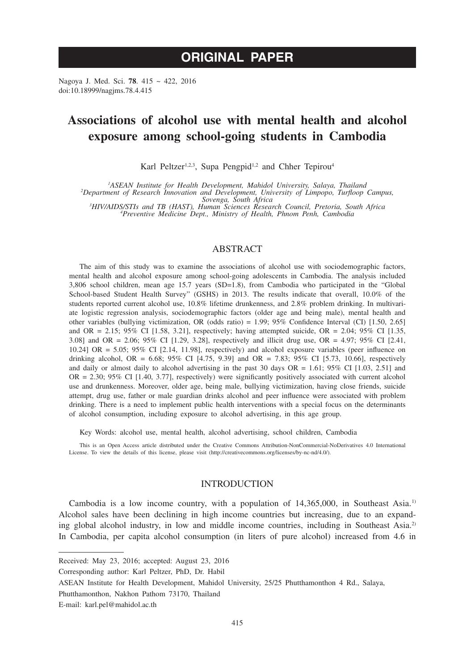# **ORIGINAL PAPER**

Nagoya J. Med. Sci. **78**. 415 ~ 422, 2016 doi:10.18999/nagjms.78.4.415

# **Associations of alcohol use with mental health and alcohol exposure among school-going students in Cambodia**

Karl Peltzer<sup>1,2,3</sup>, Supa Pengpid<sup>1,2</sup> and Chher Tepirou<sup>4</sup>

<sup>1</sup>ASEAN Institute for Health Development, Mahidol University, Salaya, Thailand

<sup>1</sup>ASEAN Institute for Health Development, Mahidol University, Salaya, Thailand<br>2Department of Research Innovation and Development, University of Limpopo, Turfloop Campus,<br><sup>3</sup>HIV/AIDS/STIs and TR (HAST) Human Sciences Rese

*HIV/AIDS/STIs and TB (HAST), Human Sciences Research Council, Pretoria, South Africa <sup>4</sup> Preventive Medicine Dept., Ministry of Health, Phnom Penh, Cambodia*

# ABSTRACT

The aim of this study was to examine the associations of alcohol use with sociodemographic factors, mental health and alcohol exposure among school-going adolescents in Cambodia. The analysis included 3,806 school children, mean age 15.7 years (SD=1.8), from Cambodia who participated in the "Global School-based Student Health Survey" (GSHS) in 2013. The results indicate that overall, 10.0% of the students reported current alcohol use, 10.8% lifetime drunkenness, and 2.8% problem drinking. In multivariate logistic regression analysis, sociodemographic factors (older age and being male), mental health and other variables (bullying victimization, OR (odds ratio) = 1.99; 95% Confidence Interval (CI) [1.50, 2.65] and OR = 2.15; 95% CI [1.58, 3.21], respectively; having attempted suicide, OR = 2.04; 95% CI [1.35, 3.08] and OR = 2.06; 95% CI [1.29, 3.28], respectively and illicit drug use, OR = 4.97; 95% CI [2.41, 10.24] OR = 5.05; 95% CI [2.14, 11.98], respectively) and alcohol exposure variables (peer influence on drinking alcohol, OR = 6.68; 95% CI [4.75, 9.39] and OR = 7.83; 95% CI [5.73, 10.66], respectively and daily or almost daily to alcohol advertising in the past 30 days  $OR = 1.61$ ; 95% CI [1.03, 2.51] and  $OR = 2.30$ ; 95% CI [1.40, 3.77], respectively) were significantly positively associated with current alcohol use and drunkenness. Moreover, older age, being male, bullying victimization, having close friends, suicide attempt, drug use, father or male guardian drinks alcohol and peer influence were associated with problem drinking. There is a need to implement public health interventions with a special focus on the determinants of alcohol consumption, including exposure to alcohol advertising, in this age group.

Key Words: alcohol use, mental health, alcohol advertising, school children, Cambodia

This is an Open Access article distributed under the Creative Commons Attribution-NonCommercial-NoDerivatives 4.0 International License. To view the details of this license, please visit (http://creativecommons.org/licenses/by-nc-nd/4.0/).

## INTRODUCTION

Cambodia is a low income country, with a population of  $14,365,000$ , in Southeast Asia.<sup>1)</sup> Alcohol sales have been declining in high income countries but increasing, due to an expanding global alcohol industry, in low and middle income countries, including in Southeast Asia.<sup>2)</sup> In Cambodia, per capita alcohol consumption (in liters of pure alcohol) increased from 4.6 in

Received: May 23, 2016; accepted: August 23, 2016

Corresponding author: Karl Peltzer, PhD, Dr. Habil

ASEAN Institute for Health Development, Mahidol University, 25/25 Phutthamonthon 4 Rd., Salaya,

Phutthamonthon, Nakhon Pathom 73170, Thailand

E-mail: karl.pel@mahidol.ac.th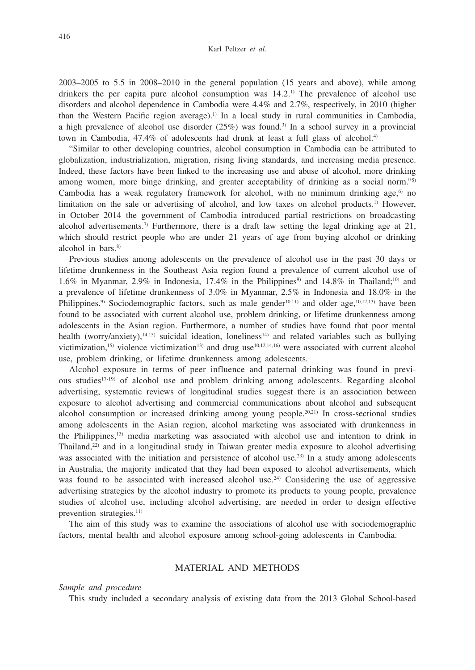2003–2005 to 5.5 in 2008–2010 in the general population (15 years and above), while among drinkers the per capita pure alcohol consumption was  $14.2$ .<sup>1)</sup> The prevalence of alcohol use disorders and alcohol dependence in Cambodia were 4.4% and 2.7%, respectively, in 2010 (higher than the Western Pacific region average).<sup>1)</sup> In a local study in rural communities in Cambodia, a high prevalence of alcohol use disorder  $(25%)$  was found.<sup>3)</sup> In a school survey in a provincial town in Cambodia,  $47.4\%$  of adolescents had drunk at least a full glass of alcohol.<sup>4)</sup>

"Similar to other developing countries, alcohol consumption in Cambodia can be attributed to globalization, industrialization, migration, rising living standards, and increasing media presence. Indeed, these factors have been linked to the increasing use and abuse of alcohol, more drinking among women, more binge drinking, and greater acceptability of drinking as a social norm."5) Cambodia has a weak regulatory framework for alcohol, with no minimum drinking age, $6$  no limitation on the sale or advertising of alcohol, and low taxes on alcohol products.<sup>1)</sup> However, in October 2014 the government of Cambodia introduced partial restrictions on broadcasting alcohol advertisements.7) Furthermore, there is a draft law setting the legal drinking age at 21, which should restrict people who are under 21 years of age from buying alcohol or drinking alcohol in bars.<sup>8)</sup>

Previous studies among adolescents on the prevalence of alcohol use in the past 30 days or lifetime drunkenness in the Southeast Asia region found a prevalence of current alcohol use of 1.6% in Myanmar, 2.9% in Indonesia, 17.4% in the Philippines<sup>9)</sup> and 14.8% in Thailand;<sup>10)</sup> and a prevalence of lifetime drunkenness of 3.0% in Myanmar, 2.5% in Indonesia and 18.0% in the Philippines.<sup>9)</sup> Sociodemographic factors, such as male gender<sup>10,11)</sup> and older age,<sup>10,12,13)</sup> have been found to be associated with current alcohol use, problem drinking, or lifetime drunkenness among adolescents in the Asian region. Furthermore, a number of studies have found that poor mental health (worry/anxiety), $14,15$ ) suicidal ideation, loneliness<sup>14)</sup> and related variables such as bullying victimization,<sup>15)</sup> violence victimization<sup>13)</sup> and drug use<sup>10,12,14,16)</sup> were associated with current alcohol use, problem drinking, or lifetime drunkenness among adolescents.

Alcohol exposure in terms of peer influence and paternal drinking was found in previous studies<sup>17-19)</sup> of alcohol use and problem drinking among adolescents. Regarding alcohol advertising, systematic reviews of longitudinal studies suggest there is an association between exposure to alcohol advertising and commercial communications about alcohol and subsequent alcohol consumption or increased drinking among young people.<sup>20,21)</sup> In cross-sectional studies among adolescents in the Asian region, alcohol marketing was associated with drunkenness in the Philippines,<sup>13)</sup> media marketing was associated with alcohol use and intention to drink in Thailand,22) and in a longitudinal study in Taiwan greater media exposure to alcohol advertising was associated with the initiation and persistence of alcohol use.<sup>23)</sup> In a study among adolescents in Australia, the majority indicated that they had been exposed to alcohol advertisements, which was found to be associated with increased alcohol use.<sup>24)</sup> Considering the use of aggressive advertising strategies by the alcohol industry to promote its products to young people, prevalence studies of alcohol use, including alcohol advertising, are needed in order to design effective prevention strategies.<sup>11)</sup>

The aim of this study was to examine the associations of alcohol use with sociodemographic factors, mental health and alcohol exposure among school-going adolescents in Cambodia.

# MATERIAL AND METHODS

*Sample and procedure*

This study included a secondary analysis of existing data from the 2013 Global School-based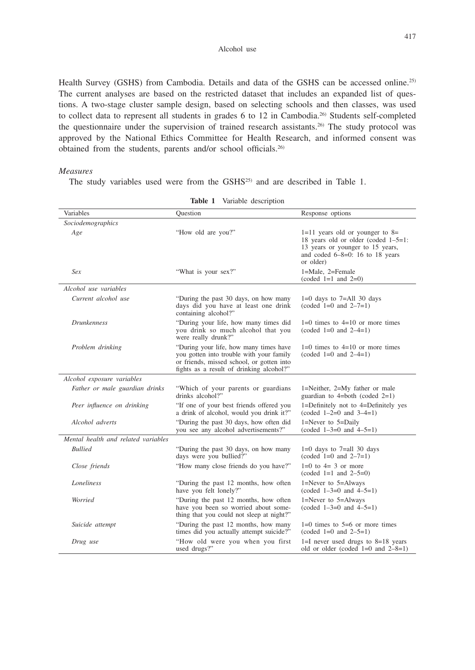Alcohol use

Health Survey (GSHS) from Cambodia. Details and data of the GSHS can be accessed online.<sup>25)</sup> The current analyses are based on the restricted dataset that includes an expanded list of questions. A two-stage cluster sample design, based on selecting schools and then classes, was used to collect data to represent all students in grades 6 to 12 in Cambodia.26) Students self-completed the questionnaire under the supervision of trained research assistants.26) The study protocol was approved by the National Ethics Committee for Health Research, and informed consent was obtained from the students, parents and/or school officials.26)

## *Measures*

The study variables used were from the GSHS25) and are described in Table 1.

| Variables                           | Ouestion                                                                                                                                                                    | Response options                                                                                                                                                     |  |
|-------------------------------------|-----------------------------------------------------------------------------------------------------------------------------------------------------------------------------|----------------------------------------------------------------------------------------------------------------------------------------------------------------------|--|
| Sociodemographics                   |                                                                                                                                                                             |                                                                                                                                                                      |  |
| Age                                 | "How old are you?"                                                                                                                                                          | $1=11$ years old or younger to $8=$<br>18 years old or older (coded $1-5=1$ :<br>13 years or younger to 15 years,<br>and coded $6-8=0$ : 16 to 18 years<br>or older) |  |
| Sex                                 | "What is your sex?"                                                                                                                                                         | 1=Male, 2=Female<br>$(coded 1=1 and 2=0)$                                                                                                                            |  |
| Alcohol use variables               |                                                                                                                                                                             |                                                                                                                                                                      |  |
| Current alcohol use                 | "During the past 30 days, on how many<br>days did you have at least one drink<br>containing alcohol?"                                                                       | $1=0$ days to $7=$ All 30 days<br>$(coded 1=0 and 2-7=1)$                                                                                                            |  |
| <i>Drunkenness</i>                  | "During your life, how many times did<br>you drink so much alcohol that you<br>were really drunk?"                                                                          | $1=0$ times to $4=10$ or more times<br>$(coded 1=0 and 2-4=1)$                                                                                                       |  |
| Problem drinking                    | "During your life, how many times have<br>you gotten into trouble with your family<br>or friends, missed school, or gotten into<br>fights as a result of drinking alcohol?" | $1=0$ times to $4=10$ or more times<br>$(coded 1=0 and 2-4=1)$                                                                                                       |  |
| Alcohol exposure variables          |                                                                                                                                                                             |                                                                                                                                                                      |  |
| Father or male guardian drinks      | "Which of your parents or guardians"<br>drinks alcohol?"                                                                                                                    | 1=Neither, 2=My father or male<br>guardian to 4=both (coded $2=1$ )                                                                                                  |  |
| Peer influence on drinking          | "If one of your best friends offered you<br>a drink of alcohol, would you drink it?"                                                                                        | 1=Definitely not to 4=Definitely yes<br>$(coded \ 1-2=0 \ and \ 3-4=1)$                                                                                              |  |
| Alcohol adverts                     | "During the past 30 days, how often did<br>you see any alcohol advertisements?"                                                                                             | 1=Never to $5=$ Daily<br>$(coded \ 1-3=0 \ and \ 4-5=1)$                                                                                                             |  |
| Mental health and related variables |                                                                                                                                                                             |                                                                                                                                                                      |  |
| <b>Bullied</b>                      | "During the past 30 days, on how many<br>days were you bullied?"                                                                                                            | $1=0$ days to $7=all$ 30 days<br>$(coded 1=0 and 2-7=1)$                                                                                                             |  |
| Close friends                       | "How many close friends do you have?"                                                                                                                                       | $1=0$ to $4=3$ or more<br>$(coded 1=1 and 2-5=0)$                                                                                                                    |  |
| Loneliness                          | "During the past 12 months, how often<br>have you felt lonely?"                                                                                                             | $1 =$ Never to $5 =$ Always<br>$(coded \ 1-3=0 \ and \ 4-5=1)$                                                                                                       |  |
| Worried                             | "During the past 12 months, how often<br>have you been so worried about some-<br>thing that you could not sleep at night?"                                                  | $1 =$ Never to $5 =$ Always<br>$(coded \ 1-3=0 \ and \ 4-5=1)$                                                                                                       |  |
| Suicide attempt                     | "During the past 12 months, how many<br>times did you actually attempt suicide?"                                                                                            | $1=0$ times to $5=6$ or more times<br>$(coded 1=0 and 2-5=1)$                                                                                                        |  |
| Drug use                            | "How old were you when you first<br>used drugs?"                                                                                                                            | $1=$ I never used drugs to $8=18$ years<br>old or older (coded $1=0$ and $2-8=1$ )                                                                                   |  |

**Table 1** Variable description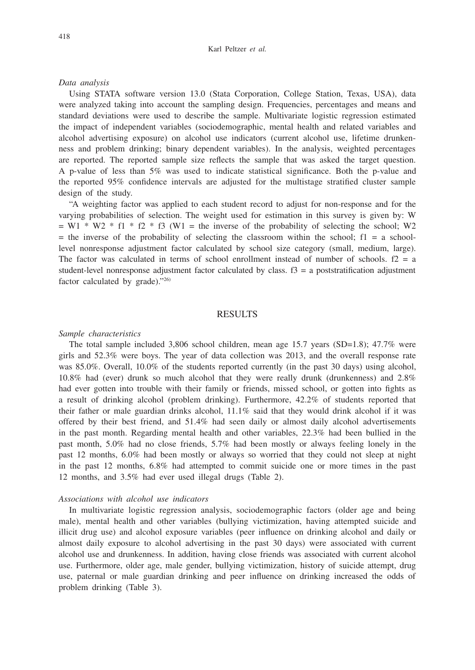### *Data analysis*

Using STATA software version 13.0 (Stata Corporation, College Station, Texas, USA), data were analyzed taking into account the sampling design. Frequencies, percentages and means and standard deviations were used to describe the sample. Multivariate logistic regression estimated the impact of independent variables (sociodemographic, mental health and related variables and alcohol advertising exposure) on alcohol use indicators (current alcohol use, lifetime drunkenness and problem drinking; binary dependent variables). In the analysis, weighted percentages are reported. The reported sample size reflects the sample that was asked the target question. A p-value of less than 5% was used to indicate statistical significance. Both the p-value and the reported 95% confidence intervals are adjusted for the multistage stratified cluster sample design of the study.

"A weighting factor was applied to each student record to adjust for non-response and for the varying probabilities of selection. The weight used for estimation in this survey is given by: W  $= W1 * W2 * f1 * f2 * f3$  (W1 = the inverse of the probability of selecting the school; W2  $=$  the inverse of the probability of selecting the classroom within the school;  $f_1 = a$  schoollevel nonresponse adjustment factor calculated by school size category (small, medium, large). The factor was calculated in terms of school enrollment instead of number of schools.  $f2 = a$ student-level nonresponse adjustment factor calculated by class.  $f3 = a$  poststratification adjustment factor calculated by grade)."26)

## RESULTS

#### *Sample characteristics*

The total sample included 3,806 school children, mean age 15.7 years (SD=1.8); 47.7% were girls and 52.3% were boys. The year of data collection was 2013, and the overall response rate was 85.0%. Overall, 10.0% of the students reported currently (in the past 30 days) using alcohol, 10.8% had (ever) drunk so much alcohol that they were really drunk (drunkenness) and 2.8% had ever gotten into trouble with their family or friends, missed school, or gotten into fights as a result of drinking alcohol (problem drinking). Furthermore, 42.2% of students reported that their father or male guardian drinks alcohol,  $11.1\%$  said that they would drink alcohol if it was offered by their best friend, and 51.4% had seen daily or almost daily alcohol advertisements in the past month. Regarding mental health and other variables, 22.3% had been bullied in the past month, 5.0% had no close friends, 5.7% had been mostly or always feeling lonely in the past 12 months, 6.0% had been mostly or always so worried that they could not sleep at night in the past 12 months, 6.8% had attempted to commit suicide one or more times in the past 12 months, and 3.5% had ever used illegal drugs (Table 2).

#### *Associations with alcohol use indicators*

In multivariate logistic regression analysis, sociodemographic factors (older age and being male), mental health and other variables (bullying victimization, having attempted suicide and illicit drug use) and alcohol exposure variables (peer influence on drinking alcohol and daily or almost daily exposure to alcohol advertising in the past 30 days) were associated with current alcohol use and drunkenness. In addition, having close friends was associated with current alcohol use. Furthermore, older age, male gender, bullying victimization, history of suicide attempt, drug use, paternal or male guardian drinking and peer influence on drinking increased the odds of problem drinking (Table 3).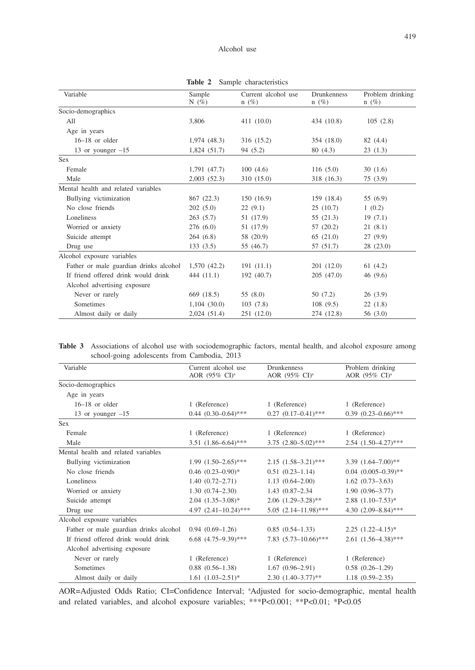| Problem drinking<br>105(2.8) |
|------------------------------|
|                              |
|                              |
|                              |
|                              |
| 82 (4.4)                     |
| 23(1.3)                      |
|                              |
| 30(1.6)                      |
| 75(3.9)                      |
|                              |
| 55 (6.9)                     |
|                              |
| 19(7.1)                      |
| 21(8.1)                      |
| 27(9.9)                      |
| 28(23.0)                     |
|                              |
| 61(4.2)                      |
| 46(9.6)                      |
|                              |
| 26(3.9)                      |
| 22(1.8)                      |
| 56(3.0)                      |
|                              |

**Table 2** Sample characteristics

**Table 3** Associations of alcohol use with sociodemographic factors, mental health, and alcohol exposure among school-going adolescents from Cambodia, 2013

| Variable                               | Current alcohol use<br><b>Drunkenness</b> |                             | Problem drinking          |  |
|----------------------------------------|-------------------------------------------|-----------------------------|---------------------------|--|
|                                        | AOR (95% CI) <sup>a</sup>                 | AOR (95% CI) <sup>a</sup>   | AOR (95% CI) <sup>a</sup> |  |
| Socio-demographics                     |                                           |                             |                           |  |
| Age in years                           |                                           |                             |                           |  |
| $16-18$ or older                       | 1 (Reference)                             | 1 (Reference)               | 1 (Reference)             |  |
| 13 or younger $-15$                    | $0.44$ $(0.30-0.64)$ ***                  | $0.27$ $(0.17-0.41)$ ***    | $0.39$ $(0.23-0.66)$ ***  |  |
| Sex                                    |                                           |                             |                           |  |
| Female                                 | 1 (Reference)                             | 1 (Reference)               | 1 (Reference)             |  |
| Male                                   | $3.51(1.86 - 6.64)$ ***                   | $3.75$ $(2.80 - 5.02)$ ***  | 2.54 (1.50-4.27)***       |  |
| Mental health and related variables    |                                           |                             |                           |  |
| Bullying victimization                 | $1.99(1.50-2.65)$ ***                     | $2.15(1.58-3.21)$ ***       | 3.39 $(1.64 - 7.00)$ **   |  |
| No close friends                       | $0.46$ $(0.23-0.90)$ *                    | $0.51(0.23 - 1.14)$         | $0.04$ $(0.005-0.39)$ **  |  |
| Loneliness                             | $1.40(0.72 - 2.71)$                       | $1.13(0.64 - 2.00)$         | $1.62(0.73-3.63)$         |  |
| Worried or anxiety                     | $1.30(0.74 - 2.30)$                       | 1.43 (0.87-2.34)            | $1.90(0.96 - 3.77)$       |  |
| Suicide attempt                        | $2.04$ $(1.35-3.08)$ *                    | $2.06$ $(1.29-3.28)$ **     | $2.88$ $(1.10-7.53)*$     |  |
| Drug use                               | 4.97 $(2.41-10.24)$ ***                   | $5.05$ $(2.14 - 11.98)$ *** | 4.30 $(2.09 - 8.84)$ ***  |  |
| Alcohol exposure variables             |                                           |                             |                           |  |
| Father or male guardian drinks alcohol | $0.94(0.69-1.26)$                         | $0.85(0.54 - 1.33)$         | $2.25$ $(1.22 - 4.15)^*$  |  |
| If friend offered drink would drink    | $6.68$ $(4.75-9.39)$ ***                  | 7.83 $(5.73 - 10.66)$ ***   | $2.61(1.56-4.38)$ ***     |  |
| Alcohol advertising exposure           |                                           |                             |                           |  |
| Never or rarely                        | 1 (Reference)                             | 1 (Reference)               | 1 (Reference)             |  |
| Sometimes                              | $0.88$ $(0.56-1.38)$                      | $1.67(0.96-2.91)$           | $0.58(0.26 - 1.29)$       |  |
| Almost daily or daily                  | $1.61 (1.03 - 2.51)^*$                    | $2.30(1.40-3.77)$ **        | $1.18(0.59 - 2.35)$       |  |

AOR=Adjusted Odds Ratio; CI=Confidence Interval; a Adjusted for socio-demographic, mental health and related variables, and alcohol exposure variables; \*\*\*P<0.001; \*\*P<0.01; \*P<0.05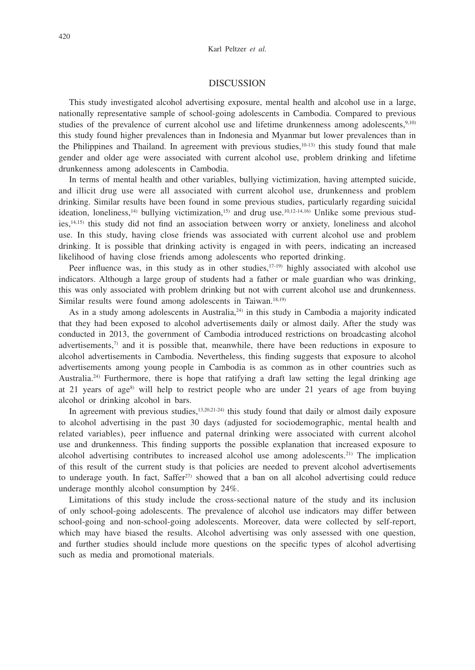## DISCUSSION

This study investigated alcohol advertising exposure, mental health and alcohol use in a large, nationally representative sample of school-going adolescents in Cambodia. Compared to previous studies of the prevalence of current alcohol use and lifetime drunkenness among adolescents,<sup>9,10)</sup> this study found higher prevalences than in Indonesia and Myanmar but lower prevalences than in the Philippines and Thailand. In agreement with previous studies, $10-13$  this study found that male gender and older age were associated with current alcohol use, problem drinking and lifetime drunkenness among adolescents in Cambodia.

In terms of mental health and other variables, bullying victimization, having attempted suicide, and illicit drug use were all associated with current alcohol use, drunkenness and problem drinking. Similar results have been found in some previous studies, particularly regarding suicidal ideation, loneliness,<sup>14)</sup> bullying victimization,<sup>15)</sup> and drug use.<sup>10,12-14,16)</sup> Unlike some previous studies,<sup>14,15)</sup> this study did not find an association between worry or anxiety, loneliness and alcohol use. In this study, having close friends was associated with current alcohol use and problem drinking. It is possible that drinking activity is engaged in with peers, indicating an increased likelihood of having close friends among adolescents who reported drinking.

Peer influence was, in this study as in other studies,  $17-19$  highly associated with alcohol use indicators. Although a large group of students had a father or male guardian who was drinking, this was only associated with problem drinking but not with current alcohol use and drunkenness. Similar results were found among adolescents in Taiwan.<sup>18,19)</sup>

As in a study among adolescents in Australia, $^{24}$  in this study in Cambodia a majority indicated that they had been exposed to alcohol advertisements daily or almost daily. After the study was conducted in 2013, the government of Cambodia introduced restrictions on broadcasting alcohol advertisements, $\gamma$  and it is possible that, meanwhile, there have been reductions in exposure to alcohol advertisements in Cambodia. Nevertheless, this finding suggests that exposure to alcohol advertisements among young people in Cambodia is as common as in other countries such as Australia.<sup>24)</sup> Furthermore, there is hope that ratifying a draft law setting the legal drinking age at 21 years of age<sup>8)</sup> will help to restrict people who are under 21 years of age from buying alcohol or drinking alcohol in bars.

In agreement with previous studies, $13,20,21-24$ ) this study found that daily or almost daily exposure to alcohol advertising in the past 30 days (adjusted for sociodemographic, mental health and related variables), peer influence and paternal drinking were associated with current alcohol use and drunkenness. This finding supports the possible explanation that increased exposure to alcohol advertising contributes to increased alcohol use among adolescents.<sup>21)</sup> The implication of this result of the current study is that policies are needed to prevent alcohol advertisements to underage youth. In fact, Saffer<sup>27)</sup> showed that a ban on all alcohol advertising could reduce underage monthly alcohol consumption by 24%.

Limitations of this study include the cross-sectional nature of the study and its inclusion of only school-going adolescents. The prevalence of alcohol use indicators may differ between school-going and non-school-going adolescents. Moreover, data were collected by self-report, which may have biased the results. Alcohol advertising was only assessed with one question, and further studies should include more questions on the specific types of alcohol advertising such as media and promotional materials.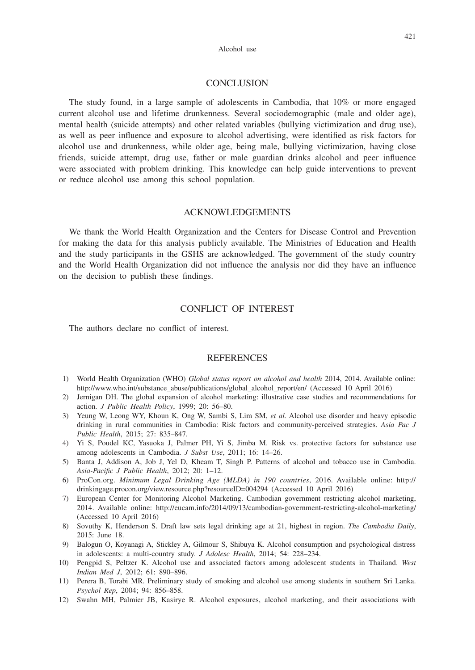## **CONCLUSION**

The study found, in a large sample of adolescents in Cambodia, that 10% or more engaged current alcohol use and lifetime drunkenness. Several sociodemographic (male and older age), mental health (suicide attempts) and other related variables (bullying victimization and drug use), as well as peer influence and exposure to alcohol advertising, were identified as risk factors for alcohol use and drunkenness, while older age, being male, bullying victimization, having close friends, suicide attempt, drug use, father or male guardian drinks alcohol and peer influence were associated with problem drinking. This knowledge can help guide interventions to prevent or reduce alcohol use among this school population.

# ACKNOWLEDGEMENTS

We thank the World Health Organization and the Centers for Disease Control and Prevention for making the data for this analysis publicly available. The Ministries of Education and Health and the study participants in the GSHS are acknowledged. The government of the study country and the World Health Organization did not influence the analysis nor did they have an influence on the decision to publish these findings.

# CONFLICT OF INTEREST

The authors declare no conflict of interest.

### **REFERENCES**

- 1) World Health Organization (WHO) *Global status report on alcohol and health* 2014, 2014. Available online: http://www.who.int/substance\_abuse/publications/global\_alcohol\_report/en/ (Accessed 10 April 2016)
- 2) Jernigan DH. The global expansion of alcohol marketing: illustrative case studies and recommendations for action. *J Public Health Policy*, 1999; 20: 56–80.
- 3) Yeung W, Leong WY, Khoun K, Ong W, Sambi S, Lim SM, *et al.* Alcohol use disorder and heavy episodic drinking in rural communities in Cambodia: Risk factors and community-perceived strategies. *Asia Pac J Public Health*, 2015; 27: 835–847.
- 4) Yi S, Poudel KC, Yasuoka J, Palmer PH, Yi S, Jimba M. Risk vs. protective factors for substance use among adolescents in Cambodia. *J Subst Use*, 2011; 16: 14–26.
- 5) Banta J, Addison A, Job J, Yel D, Kheam T, Singh P. Patterns of alcohol and tobacco use in Cambodia. *Asia-Pacific J Public Health*, 2012; 20: 1–12.
- 6) ProCon.org. *Minimum Legal Drinking Age (MLDA) in 190 countries*, 2016. Available online: http:// drinkingage.procon.org/view.resource.php?resourceID=004294 (Accessed 10 April 2016)
- 7) European Center for Monitoring Alcohol Marketing. Cambodian government restricting alcohol marketing, 2014. Available online: http://eucam.info/2014/09/13/cambodian-government-restricting-alcohol-marketing/ (Accessed 10 April 2016)
- 8) Sovuthy K, Henderson S. Draft law sets legal drinking age at 21, highest in region. *The Cambodia Daily*, 2015: June 18.
- 9) Balogun O, Koyanagi A, Stickley A, Gilmour S, Shibuya K. Alcohol consumption and psychological distress in adolescents: a multi-country study. *J Adolesc Health*, 2014; 54: 228–234.
- 10) Pengpid S, Peltzer K. Alcohol use and associated factors among adolescent students in Thailand. *West Indian Med J*, 2012; 61: 890–896.
- 11) Perera B, Torabi MR. Preliminary study of smoking and alcohol use among students in southern Sri Lanka. *Psychol Rep*, 2004; 94: 856–858.
- 12) Swahn MH, Palmier JB, Kasirye R. Alcohol exposures, alcohol marketing, and their associations with